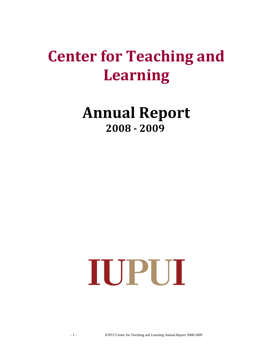# **Center for Teaching and Learning**

## **Annual Report 2008 - 2009**

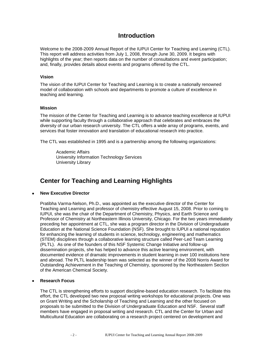## **Introduction**

Welcome to the 2008-2009 Annual Report of the IUPUI Center for Teaching and Learning (CTL). This report will address activities from July 1, 2008, through June 30, 2009. It begins with highlights of the year; then reports data on the number of consultations and event participation; and, finally, provides details about events and programs offered by the CTL.

#### **Vision**

The vision of the IUPUI Center for Teaching and Learning is to create a nationally renowned model of collaboration with schools and departments to promote a culture of excellence in teaching and learning.

#### **Mission**

The mission of the Center for Teaching and Learning is to advance teaching excellence at IUPUI while supporting faculty through a collaborative approach that celebrates and embraces the diversity of our urban research university. The CTL offers a wide array of programs, events, and services that foster innovation and translation of educational research into practice.

The CTL was established in 1995 and is a partnership among the following organizations:

Academic Affairs University Information Technology Services University Library

## **Center for Teaching and Learning Highlights**

### **New Executive Director**

Pratibha Varma-Nelson, Ph.D., was appointed as the executive director of the Center for Teaching and Learning and professor of chemistry effective August 15, 2008. Prior to coming to IUPUI, she was the chair of the Department of Chemistry, Physics, and Earth Science and Professor of Chemistry at Northeastern Illinois University, Chicago. For the two years immediately preceding her appointment at CTL, she was a program director in the Division of Undergraduate Education at the National Science Foundation (NSF). She brought to IUPUI a national reputation for enhancing the learning of students in science, technology, engineering and mathematics (STEM) disciplines through a collaborative learning structure called Peer-Led Team Learning (PLTL). As one of the founders of this NSF Systemic Change Initiative and follow-up dissemination projects, she has helped to advance this active learning environment, with documented evidence of dramatic improvements in student learning in over 100 institutions here and abroad. The PLTL leadership team was selected as the winner of the 2008 Norris Award for Outstanding Achievement in the Teaching of Chemistry, sponsored by the Northeastern Section of the American Chemical Society.

### **Research Focus**

The CTL is strengthening efforts to support discipline-based education research. To facilitate this effort, the CTL developed two new proposal writing workshops for educational projects. One was on Grant Writing and the Scholarship of Teaching and Learning and the other focused on proposals to be submitted to the Division of Undergraduate Education and NSF. Several staff members have engaged in proposal writing and research. CTL and the Center for Urban and Multicultural Education are collaborating on a research project centered on development and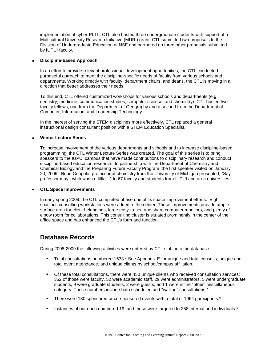implementation of cyber-PLTL. CTL also hosted three undergraduate students with support of a Multicultural University Research Initiative (MURI) grant. CTL submitted two proposals to the Division of Undergraduate Education at NSF and partnered on three other proposals submitted by IUPUI faculty.

#### **Discipline-based Approach**

In an effort to provide relevant professional development opportunities, the CTL conducted purposeful outreach to meet the discipline-specific needs of faculty from various schools and departments. Working directly with faculty, department chairs, and deans, the CTL is moving in a direction that better addresses their needs.

To this end, CTL offered customized workshops for various schools and departments (e.g., dentistry, medicine, communication studies, computer science, and chemistry). CTL hosted two faculty fellows, one from the Department of Geography and a second from the Department of Computer, Information, and Leadership Technology.

In the interest of serving the STEM disciplines more effectively, CTL replaced a general instructional design consultant position with a STEM Education Specialist.

#### **Winter Lecture Series**

To increase involvement of the various departments and schools and to increase discipline-based programming, the CTL Winter Lecture Series was created. The goal of this series is to bring speakers to the IUPUI campus that have made contributions to disciplinary research and conduct discipline-based education research. In partnership with the Department of Chemistry and Chemical Biology and the Preparing Future Faculty Program, the first speaker visited on January 20, 2009. Brian Coppola, professor of chemistry from the University of Michigan presented, "Say professor may I whitewash a little…" to 67 faculty and students from IUPUI and area universities.

#### **CTL Space Improvements**

In early spring 2009, the CTL completed phase one of its space improvement efforts. Eight spacious consulting workstations were added to the center. These improvements provide ample surface area for client belongings, large easy-to-see and share computer monitors, and plenty of elbow room for collaborations. This consulting cluster is situated prominently in the center of the office space and has enhanced the CTL's form and function.

## **Database Records**

During 2008-2009 the following activities were entered by CTL staff into the database:

- Total consultations numbered 1533.\* See Appendix E for unique and total consults, unique and total event attendance, and unique clients by school/campus affiliation.
- Of these total consultations, there were 450 unique clients who received consultation services; 352 of those were faculty, 52 were academic staff, 29 were administrators, 5 were undergraduate students, 9 were graduate students, 2 were guests, and 1 were in the "other" miscellaneous category. These numbers include both scheduled and "walk in" consultations.\*
- There were 130 sponsored or co-sponsored events with a total of 1964 participants.\*
- Instances of outreach numbered 19; and these were targeted to 258 internal and individuals.\*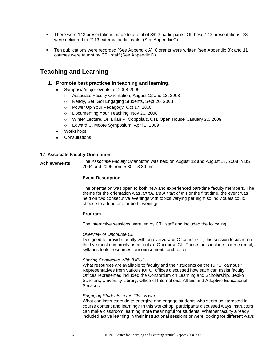- There were 143 presentations made to a total of 3923 participants. Of these 143 presentations, 38 were delivered to 2113 external participants. (See Appendix C)
- Ten publications were recorded (See Appendix A); 8 grants were written (see Appendix B); and 11 courses were taught by CTL staff (See Appendix D)

## **Teaching and Learning**

- **1. Promote best practices in teaching and learning.** 
	- Symposia/major events for 2008-2009  $\bullet$ 
		- o Associate Faculty Orientation, August 12 and 13, 2008
		- o Ready, Set, Go! Engaging Students, Sept 26, 2008
		- o Power Up Your Pedagogy, Oct 17, 2008
		- o Documenting Your Teaching, Nov 20, 2008
		- o Winter Lecture, Dr. Brian P. Coppola & CTL Open House, January 20, 2009
		- o Edward C. Moore Symposium, April 2, 2009
	- Workshops
	- **Consultations**  $\bullet$

### **1.1 Associate Faculty Orientation**

| <b>Achievements</b> | The Associate Faculty Orientation was held on August 12 and August 13, 2008 in BS<br>2004 and 2006 from $5:30 - 8:30$ pm.                                                                                                                                                                                                                                                                                   |
|---------------------|-------------------------------------------------------------------------------------------------------------------------------------------------------------------------------------------------------------------------------------------------------------------------------------------------------------------------------------------------------------------------------------------------------------|
|                     | <b>Event Description</b>                                                                                                                                                                                                                                                                                                                                                                                    |
|                     | The orientation was open to both new and experienced part-time faculty members. The<br>theme for the orientation was <i>IUPUI: Be A Part of It</i> . For the first time, the event was<br>held on two consecutive evenings with topics varying per night so individuals could<br>choose to attend one or both evenings.                                                                                     |
|                     | Program                                                                                                                                                                                                                                                                                                                                                                                                     |
|                     | The interactive sessions were led by CTL staff and included the following:                                                                                                                                                                                                                                                                                                                                  |
|                     | Overview of Oncourse CL<br>Designed to provide faculty with an overview of Oncourse CL, this session focused on<br>the five most commonly used tools in Oncourse CL. These tools include: course email,<br>syllabus tools, resources, announcements and roster.                                                                                                                                             |
|                     | <b>Staying Connected With IUPUI</b><br>What resources are available to faculty and their students on the IUPUI campus?<br>Representatives from various IUPUI offices discussed how each can assist faculty.<br>Offices represented included the Consortium on Learning and Scholarship, Bepko<br>Scholars, University Library, Office of International Affairs and Adaptive Educational<br>Services.        |
|                     | <b>Engaging Students in the Classroom</b><br>What can instructors do to energize and engage students who seem uninterested in<br>course content and learning? In this workshop, participants discussed ways instructors<br>can make classroom learning more meaningful for students. Whether faculty already<br>included active learning in their instructional sessions or were looking for different ways |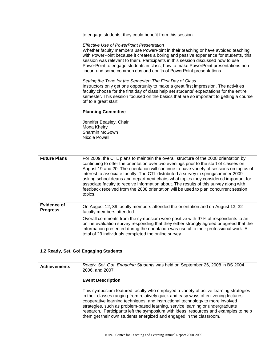|                     | to engage students, they could benefit from this session.                                                                                                                                                                                                                                                                                                                                                                                                                                                                                                                                                                                                                                                                                                                                                                                                                                                                                                   |
|---------------------|-------------------------------------------------------------------------------------------------------------------------------------------------------------------------------------------------------------------------------------------------------------------------------------------------------------------------------------------------------------------------------------------------------------------------------------------------------------------------------------------------------------------------------------------------------------------------------------------------------------------------------------------------------------------------------------------------------------------------------------------------------------------------------------------------------------------------------------------------------------------------------------------------------------------------------------------------------------|
|                     | <b>Effective Use of PowerPoint Presentation</b><br>Whether faculty members use PowerPoint in their teaching or have avoided teaching<br>with PowerPoint because it creates a boring and passive experience for students, this<br>session was relevant to them. Participants in this session discussed how to use<br>PowerPoint to engage students in class, how to make PowerPoint presentations non-<br>linear, and some common dos and don'ts of PowerPoint presentations.<br>Setting the Tone for the Semester: The First Day of Class<br>Instructors only get one opportunity to make a great first impression. The activities<br>faculty choose for the first day of class help set students' expectations for the entire<br>semester. This session focused on the basics that are so important to getting a course<br>off to a great start.<br><b>Planning Committee</b><br>Jennifer Beasley, Chair<br>Mona Kheiry<br>Sharmin McGown<br>Nicole Powell |
|                     |                                                                                                                                                                                                                                                                                                                                                                                                                                                                                                                                                                                                                                                                                                                                                                                                                                                                                                                                                             |
| <b>Future Plans</b> | For 2009, the CTL plans to maintain the overall structure of the 2008 orientation by<br>continuing to offer the orientation over two evenings prior to the start of classes on<br>August 19 and 20. The orientation will continue to have variety of sessions on topics of<br>interest to associate faculty. The CTL distributed a survey in spring/summer 2009<br>asking school deans and department chairs what topics they considered important for<br>associate faculty to receive information about. The results of this survey along with<br>feedback received from the 2008 orientation will be used to plan concurrent session<br>topics.                                                                                                                                                                                                                                                                                                           |
| Evidence of         |                                                                                                                                                                                                                                                                                                                                                                                                                                                                                                                                                                                                                                                                                                                                                                                                                                                                                                                                                             |
| <b>Progress</b>     | On August 12, 39 faculty members attended the orientation and on August 13, 32<br>faculty members attended.<br>Overall comments from the symposium were positive with 97% of respondents to an<br>online evaluation survey responding that they either strongly agreed or agreed that the<br>information presented during the orientation was useful to their professional work. A<br>total of 29 individuals completed the online survey.                                                                                                                                                                                                                                                                                                                                                                                                                                                                                                                  |

## **1.2 Ready, Set, Go! Engaging Students**

| <b>Achievements</b> | Ready, Set, Go! Engaging Students was held on September 26, 2008 in BS 2004,<br>2006, and 2007.                                                                                                                                                                                                                                                                                                                                                                                                                |
|---------------------|----------------------------------------------------------------------------------------------------------------------------------------------------------------------------------------------------------------------------------------------------------------------------------------------------------------------------------------------------------------------------------------------------------------------------------------------------------------------------------------------------------------|
|                     | <b>Event Description</b>                                                                                                                                                                                                                                                                                                                                                                                                                                                                                       |
|                     | This symposium featured faculty who employed a variety of active learning strategies<br>in their classes ranging from relatively quick and easy ways of enlivening lectures,<br>cooperative learning techniques, and instructional technology to more involved<br>strategies, such as problem-based learning, service learning or undergraduate<br>research. Participants left the symposium with ideas, resources and examples to help<br>them get their own students energized and engaged in the classroom. |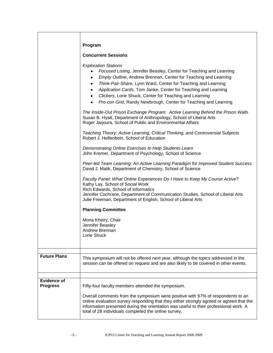|                     | Program<br><b>Concurrent Sessions</b><br><b>Exploration Stations</b><br>Focused Listing, Jennifer Beasley, Center for Teaching and Learning<br>$\bullet$<br>Empty Outline, Andrew Brennan, Center for Teaching and Learning<br>٠<br>Think-Pair-Share, Lynn Ward, Center for Teaching and Learning<br>٠                      |
|---------------------|-----------------------------------------------------------------------------------------------------------------------------------------------------------------------------------------------------------------------------------------------------------------------------------------------------------------------------|
|                     | Application Cards, Tom Janke, Center for Teaching and Learning<br>٠<br>Clickers, Lorie Shuck, Center for Teaching and Learning<br>$\bullet$<br>Pro-con Grid, Randy Newbrough, Center for Teaching and Learning<br>٠                                                                                                         |
|                     | The Inside-Out Prison Exchange Program: Active Learning Behind the Prison Walls<br>Susan B. Hyatt, Department of Anthropology, School of Liberal Arts<br>Roger Jarjoura, School of Public and Environmental Affairs<br>Teaching Theory: Active Learning, Critical Thinking, and Controversial Subjects                      |
|                     | Robert J. Helfenbein, School of Education<br>Demonstrating Online Exercises to Help Students Learn<br>John Kremer, Department of Psychology, School of Science                                                                                                                                                              |
|                     | Peer-led Team Learning: An Active Learning Paradigm for Improved Student Success<br>David J. Malik, Department of Chemistry, School of Science                                                                                                                                                                              |
|                     | Faculty Panel: What Online Experiences Do I Have to Keep My Course Active?<br>Kathy Lay, School of Social Work<br>Rich Edwards, School of Informatics<br>Jennifer Cochrane, Department of Communication Studies, School of Liberal Arts<br>Julie Freeman, Department of English, School of Liberal Arts                     |
|                     | <b>Planning Committee</b>                                                                                                                                                                                                                                                                                                   |
|                     | Mona Kheiry, Chair<br>Jennifer Beasley<br>Andrew Brennan<br>Lorie Shuck                                                                                                                                                                                                                                                     |
| <b>Future Plans</b> |                                                                                                                                                                                                                                                                                                                             |
|                     | This symposium will not be offered next year, although the topics addressed in the<br>session can be offered on request and are also likely to be covered in other events.                                                                                                                                                  |
| <b>Evidence of</b>  |                                                                                                                                                                                                                                                                                                                             |
| <b>Progress</b>     | Fifty-four faculty members attended the symposium.                                                                                                                                                                                                                                                                          |
|                     | Overall comments from the symposium were positive with 97% of respondents to an<br>online evaluation survey responding that they either strongly agreed or agreed that the<br>information presented during the orientation was useful to their professional work. A<br>total of 28 individuals completed the online survey. |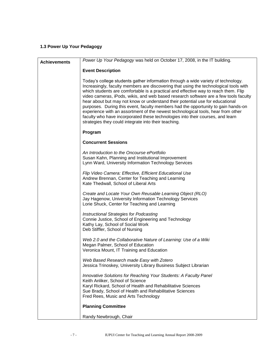## **1.3 Power Up Your Pedagogy**

| <b>Achievements</b> | Power Up Your Pedagogy was held on October 17, 2008, in the IT building.                                                                                                                                                                                                                                                                                                                                                                                                                                                                                                                                                                                                                                                                                      |
|---------------------|---------------------------------------------------------------------------------------------------------------------------------------------------------------------------------------------------------------------------------------------------------------------------------------------------------------------------------------------------------------------------------------------------------------------------------------------------------------------------------------------------------------------------------------------------------------------------------------------------------------------------------------------------------------------------------------------------------------------------------------------------------------|
|                     | <b>Event Description</b>                                                                                                                                                                                                                                                                                                                                                                                                                                                                                                                                                                                                                                                                                                                                      |
|                     | Today's college students gather information through a wide variety of technology.<br>Increasingly, faculty members are discovering that using the technological tools with<br>which students are comfortable is a practical and effective way to reach them. Flip<br>video cameras, iPods, wikis, and web based research software are a few tools faculty<br>hear about but may not know or understand their potential use for educational<br>purposes. During this event, faculty members had the opportunity to gain hands-on<br>experience with an assortment of the newest technological tools, hear from other<br>faculty who have incorporated these technologies into their courses, and learn<br>strategies they could integrate into their teaching. |
|                     | Program                                                                                                                                                                                                                                                                                                                                                                                                                                                                                                                                                                                                                                                                                                                                                       |
|                     | <b>Concurrent Sessions</b>                                                                                                                                                                                                                                                                                                                                                                                                                                                                                                                                                                                                                                                                                                                                    |
|                     | An Introduction to the Oncourse ePortfolio<br>Susan Kahn, Planning and Institutional Improvement<br>Lynn Ward, University Information Technology Services                                                                                                                                                                                                                                                                                                                                                                                                                                                                                                                                                                                                     |
|                     | Flip Video Camera: Effective, Efficient Educational Use<br>Andrew Brennan, Center for Teaching and Learning<br>Kate Thedwall, School of Liberal Arts                                                                                                                                                                                                                                                                                                                                                                                                                                                                                                                                                                                                          |
|                     | Create and Locate Your Own Reusable Learning Object (RLO)<br>Jay Hagenow, University Information Technology Services<br>Lorie Shuck, Center for Teaching and Learning                                                                                                                                                                                                                                                                                                                                                                                                                                                                                                                                                                                         |
|                     | Instructional Strategies for Podcasting<br>Connie Justice, School of Engineering and Technology<br>Kathy Lay, School of Social Work<br>Deb Stiffler, School of Nursing                                                                                                                                                                                                                                                                                                                                                                                                                                                                                                                                                                                        |
|                     | Web 2.0 and the Collaborative Nature of Learning: Use of a Wiki<br>Megan Palmer, School of Education<br>Veronica Mount, IT Training and Education                                                                                                                                                                                                                                                                                                                                                                                                                                                                                                                                                                                                             |
|                     | Web Based Research made Easy with Zotero<br>Jessica Trinoskey, University Library Business Subject Librarian                                                                                                                                                                                                                                                                                                                                                                                                                                                                                                                                                                                                                                                  |
|                     | Innovative Solutions for Reaching Your Students: A Faculty Panel<br>Keith Anliker, School of Science<br>Karyl Rickard, School of Health and Rehabilitative Sciences<br>Sue Brady, School of Health and Rehabilitative Sciences<br>Fred Rees, Music and Arts Technology                                                                                                                                                                                                                                                                                                                                                                                                                                                                                        |
|                     | <b>Planning Committee</b>                                                                                                                                                                                                                                                                                                                                                                                                                                                                                                                                                                                                                                                                                                                                     |
|                     | Randy Newbrough, Chair                                                                                                                                                                                                                                                                                                                                                                                                                                                                                                                                                                                                                                                                                                                                        |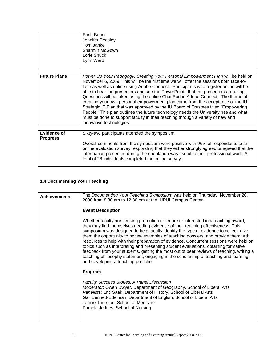|                     | Erich Bauer<br>Jennifer Beasley<br>Tom Janke<br>Sharmin McGown<br>Lorie Shuck<br>Lynn Ward                                                                                                                                                                                                                                                                                                                                                                                                                                                                                                                                                                                                                                                                                                                               |
|---------------------|--------------------------------------------------------------------------------------------------------------------------------------------------------------------------------------------------------------------------------------------------------------------------------------------------------------------------------------------------------------------------------------------------------------------------------------------------------------------------------------------------------------------------------------------------------------------------------------------------------------------------------------------------------------------------------------------------------------------------------------------------------------------------------------------------------------------------|
| <b>Future Plans</b> | Power Up Your Pedagogy: Creating Your Personal Empowerment Plan will be held on<br>November 6, 2009. This will be the first time we will offer the sessions both face-to-<br>face as well as online using Adobe Connect. Participants who register online will be<br>able to hear the presenters and see the PowerPoints that the presenters are using.<br>Questions will be taken using the online Chat Pod in Adobe Connect. The theme of<br>creating your own personal empowerment plan came from the acceptance of the IU<br>Strategic IT Plan that was approved by the IU Board of Trustees titled "Empowering<br>People." This plan outlines the future technology needs the University has and what<br>must be done to support faculty in their teaching through a variety of new and<br>innovative technologies. |
| Evidence of         |                                                                                                                                                                                                                                                                                                                                                                                                                                                                                                                                                                                                                                                                                                                                                                                                                          |
| <b>Progress</b>     | Sixty-two participants attended the symposium.<br>Overall comments from the symposium were positive with 96% of respondents to an<br>online evaluation survey responding that they either strongly agreed or agreed that the<br>information presented during the orientation was useful to their professional work. A<br>total of 28 individuals completed the online survey.                                                                                                                                                                                                                                                                                                                                                                                                                                            |

## **1.4 Documenting Your Teaching**

| <b>Achievements</b> | The Documenting Your Teaching Symposium was held on Thursday, November 20,<br>2008 from 8:30 am to 12:30 pm at the IUPUI Campus Center.                                                                                                                                                                                                                                                                                                                                                                                                                                                                                                                                                                                                                            |
|---------------------|--------------------------------------------------------------------------------------------------------------------------------------------------------------------------------------------------------------------------------------------------------------------------------------------------------------------------------------------------------------------------------------------------------------------------------------------------------------------------------------------------------------------------------------------------------------------------------------------------------------------------------------------------------------------------------------------------------------------------------------------------------------------|
|                     | <b>Event Description</b>                                                                                                                                                                                                                                                                                                                                                                                                                                                                                                                                                                                                                                                                                                                                           |
|                     | Whether faculty are seeking promotion or tenure or interested in a teaching award,<br>they may find themselves needing evidence of their teaching effectiveness. This<br>symposium was designed to help faculty identify the type of evidence to collect, give<br>them the opportunity to review examples of teaching dossiers, and provide them with<br>resources to help with their preparation of evidence. Concurrent sessions were held on<br>topics such as interpreting and presenting student evaluations, obtaining formative<br>feedback from your students, getting the most out of peer reviews of teaching, writing a<br>teaching philosophy statement, engaging in the scholarship of teaching and learning,<br>and developing a teaching portfolio. |
|                     | Program                                                                                                                                                                                                                                                                                                                                                                                                                                                                                                                                                                                                                                                                                                                                                            |
|                     | <b>Faculty Success Stories: A Panel Discussion</b><br>Moderator: Owen Dwyer, Department of Geography, School of Liberal Arts<br>Panelists: Eric Saak, Department of History, School of Liberal Arts<br>Gail Bennett-Edelman, Department of English, School of Liberal Arts<br>Jennie Thurston, School of Medicine<br>Pamela Jeffries, School of Nursing                                                                                                                                                                                                                                                                                                                                                                                                            |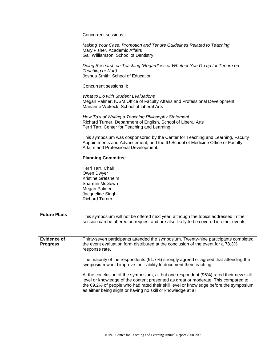|                                       | Concurrent sessions I:                                                                                                                                                                                                                                                                                                                  |
|---------------------------------------|-----------------------------------------------------------------------------------------------------------------------------------------------------------------------------------------------------------------------------------------------------------------------------------------------------------------------------------------|
|                                       | Making Your Case: Promotion and Tenure Guidelines Related to Teaching<br>Mary Fisher, Academic Affairs<br>Gail Williamson, School of Dentistry                                                                                                                                                                                          |
|                                       | Doing Research on Teaching (Regardless of Whether You Go up for Tenure on<br>Teaching or Not!)<br>Joshua Smith, School of Education                                                                                                                                                                                                     |
|                                       | Concurrent sessions II:                                                                                                                                                                                                                                                                                                                 |
|                                       | What to Do with Student Evaluations<br>Megan Palmer, IUSM Office of Faculty Affairs and Professional Development<br>Marianne Wokeck, School of Liberal Arts                                                                                                                                                                             |
|                                       | How To's of Writing a Teaching Philosophy Statement<br>Richard Turner, Department of English, School of Liberal Arts<br>Terri Tarr, Center for Teaching and Learning                                                                                                                                                                    |
|                                       | This symposium was cosponsored by the Center for Teaching and Learning, Faculty<br>Appointments and Advancement, and the IU School of Medicine Office of Faculty<br>Affairs and Professional Development.                                                                                                                               |
|                                       | <b>Planning Committee</b>                                                                                                                                                                                                                                                                                                               |
|                                       | Terri Tarr, Chair<br>Owen Dwyer<br>Kristine Grefsheim<br>Sharmin McGown<br>Megan Palmer<br>Jacqueline Singh<br><b>Richard Turner</b>                                                                                                                                                                                                    |
| <b>Future Plans</b>                   |                                                                                                                                                                                                                                                                                                                                         |
|                                       | This symposium will not be offered next year, although the topics addressed in the<br>session can be offered on request and are also likely to be covered in other events.                                                                                                                                                              |
| <b>Evidence of</b><br><b>Progress</b> | Thirty-seven participants attended the symposium. Twenty-nine participants completed<br>the event evaluation form distributed at the conclusion of the event for a 78.3%<br>response rate.                                                                                                                                              |
|                                       | The majority of the respondents (91.7%) strongly agreed or agreed that attending the<br>symposium would improve their ability to document their teaching.                                                                                                                                                                               |
|                                       | At the conclusion of the symposium, all but one respondent (96%) rated their new skill<br>level or knowledge of the content presented as great or moderate. This compared to<br>the 69.2% of people who had rated their skill level or knowledge before the symposium<br>as either being slight or having no skill or knowledge at all. |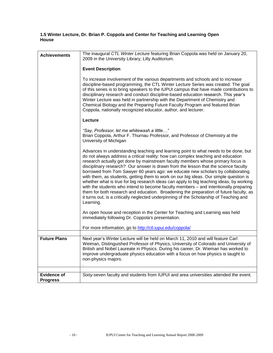## **1.5 Winter Lecture, Dr. Brian P. Coppola and Center for Teaching and Learning Open House**

| <b>Achievements</b>                   | The inaugural CTL Winter Lecture featuring Brian Coppola was held on January 20,<br>2009 in the University Library, Lilly Auditorium.                                                                                                                                                                                                                                                                                                                                                                                                                                                                                                                                                                                                                                                                                                                                                                              |
|---------------------------------------|--------------------------------------------------------------------------------------------------------------------------------------------------------------------------------------------------------------------------------------------------------------------------------------------------------------------------------------------------------------------------------------------------------------------------------------------------------------------------------------------------------------------------------------------------------------------------------------------------------------------------------------------------------------------------------------------------------------------------------------------------------------------------------------------------------------------------------------------------------------------------------------------------------------------|
|                                       | <b>Event Description</b>                                                                                                                                                                                                                                                                                                                                                                                                                                                                                                                                                                                                                                                                                                                                                                                                                                                                                           |
|                                       | To increase involvement of the various departments and schools and to increase<br>discipline-based programming, the CTL Winter Lecture Series was created. The goal<br>of this series is to bring speakers to the IUPUI campus that have made contributions to<br>disciplinary research and conduct discipline-based education research. This year's<br>Winter Lecture was held in partnership with the Department of Chemistry and<br>Chemical Biology and the Preparing Future Faculty Program and featured Brian<br>Coppola, nationally recognized educator, author, and lecturer.                                                                                                                                                                                                                                                                                                                              |
|                                       | Lecture                                                                                                                                                                                                                                                                                                                                                                                                                                                                                                                                                                                                                                                                                                                                                                                                                                                                                                            |
|                                       | "Say, Professor, let me whitewash a little"<br>Brian Coppola, Arthur F. Thurnau Professor, and Professor of Chemistry at the<br>University of Michigan                                                                                                                                                                                                                                                                                                                                                                                                                                                                                                                                                                                                                                                                                                                                                             |
|                                       | Advances in understanding teaching and learning point to what needs to be done, but<br>do not always address a critical reality: how can complex teaching and education<br>research actually get done by mainstream faculty members whose primary focus is<br>disciplinary research? Our answer is drawn from the lesson that the science faculty<br>borrowed from Tom Sawyer 60 years ago: we educate new scholars by collaborating<br>with them, as students, getting them to work on our big ideas. Our simple question is<br>whether what is true for big research ideas can apply to big teaching ideas, by working<br>with the students who intend to become faculty members - and intentionally preparing<br>them for both research and education. Broadening the preparation of future faculty, as<br>it turns out, is a critically neglected underpinning of the Scholarship of Teaching and<br>Learning. |
|                                       | An open house and reception in the Center for Teaching and Learning was held<br>immediately following Dr. Coppola's presentation.                                                                                                                                                                                                                                                                                                                                                                                                                                                                                                                                                                                                                                                                                                                                                                                  |
|                                       | For more information, go to http://ctl.iupui.edu/coppola/                                                                                                                                                                                                                                                                                                                                                                                                                                                                                                                                                                                                                                                                                                                                                                                                                                                          |
| <b>Future Plans</b>                   |                                                                                                                                                                                                                                                                                                                                                                                                                                                                                                                                                                                                                                                                                                                                                                                                                                                                                                                    |
|                                       | Next year's Winter Lecture will be held on March 11, 2010 and will feature Carl<br>Weiman, Distinguished Professor of Physics, University of Colorado and University of<br>British and Nobel Laureate in Physics. During his career, Dr. Wieman has worked to<br>improve undergraduate physics education with a focus on how physics is taught to<br>non-physics majors.                                                                                                                                                                                                                                                                                                                                                                                                                                                                                                                                           |
|                                       |                                                                                                                                                                                                                                                                                                                                                                                                                                                                                                                                                                                                                                                                                                                                                                                                                                                                                                                    |
| <b>Evidence of</b><br><b>Progress</b> | Sixty-seven faculty and students from IUPUI and area universities attended the event.                                                                                                                                                                                                                                                                                                                                                                                                                                                                                                                                                                                                                                                                                                                                                                                                                              |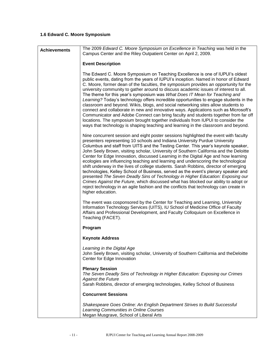## **1.6 Edward C. Moore Symposium**

| <b>Achievements</b> | The 2009 Edward C. Moore Symposium on Excellence in Teaching was held in the<br>Campus Center and the Riley Outpatient Center on April 2, 2009.                                                                                                                                                                                                                                                                                                                                                                                                                                                                                                                                                                                                                                                                                                                                                                                                                                                      |
|---------------------|------------------------------------------------------------------------------------------------------------------------------------------------------------------------------------------------------------------------------------------------------------------------------------------------------------------------------------------------------------------------------------------------------------------------------------------------------------------------------------------------------------------------------------------------------------------------------------------------------------------------------------------------------------------------------------------------------------------------------------------------------------------------------------------------------------------------------------------------------------------------------------------------------------------------------------------------------------------------------------------------------|
|                     | <b>Event Description</b>                                                                                                                                                                                                                                                                                                                                                                                                                                                                                                                                                                                                                                                                                                                                                                                                                                                                                                                                                                             |
|                     | The Edward C. Moore Symposium on Teaching Excellence is one of IUPUI's oldest<br>public events, dating from the years of IUPUI's inception. Named in honor of Edward<br>C. Moore, former dean of the faculties, the symposium provides an opportunity for the<br>university community to gather around to discuss academic issues of interest to all.<br>The theme for this year's symposium was What Does IT Mean for Teaching and<br>Learning? Today's technology offers incredible opportunities to engage students in the<br>classroom and beyond. Wikis, blogs, and social networking sites allow students to<br>connect and collaborate in new and innovative ways. Applications such as Microsoft's<br>Communicator and Adobe Connect can bring faculty and students together from far off<br>locations. The symposium brought together individuals from IUPUI to consider the<br>ways that technology is shaping teaching and learning in the classroom and beyond.                          |
|                     | Nine concurrent session and eight poster sessions highlighted the event with faculty<br>presenters representing 10 schools and Indiana University Purdue University<br>Columbus and staff from UITS and the Testing Center. This year's keynote speaker,<br>John Seely Brown, visiting scholar, University of Southern California and the Deloitte<br>Center for Edge Innovation, discussed Learning in the Digital Age and how learning<br>ecologies are influencing teaching and learning and underscoring the technological<br>shift underway in the lives of college students. Sarah Robbins, director of emerging<br>technologies, Kelley School of Business, served as the event's plenary speaker and<br>presented The Seven Deadly Sins of Technology in Higher Education: Exposing our<br>Crimes Against the Future, which discussed what has blocked our ability to adopt or<br>reject technology in an agile fashion and the conflicts that technology can create in<br>higher education. |
|                     | The event was cosponsored by the Center for Teaching and Learning, University<br>Information Technology Services (UITS), IU School of Medicine Office of Faculty<br>Affairs and Professional Development, and Faculty Colloquium on Excellence in<br>Teaching (FACET).                                                                                                                                                                                                                                                                                                                                                                                                                                                                                                                                                                                                                                                                                                                               |
|                     | Program                                                                                                                                                                                                                                                                                                                                                                                                                                                                                                                                                                                                                                                                                                                                                                                                                                                                                                                                                                                              |
|                     | <b>Keynote Address</b>                                                                                                                                                                                                                                                                                                                                                                                                                                                                                                                                                                                                                                                                                                                                                                                                                                                                                                                                                                               |
|                     | Learning in the Digital Age<br>John Seely Brown, visiting scholar, University of Southern California and theDeloitte<br>Center for Edge Innovation                                                                                                                                                                                                                                                                                                                                                                                                                                                                                                                                                                                                                                                                                                                                                                                                                                                   |
|                     | <b>Plenary Session</b><br>The Seven Deadly Sins of Technology in Higher Education: Exposing our Crimes<br><b>Against the Future</b><br>Sarah Robbins, director of emerging technologies, Kelley School of Business                                                                                                                                                                                                                                                                                                                                                                                                                                                                                                                                                                                                                                                                                                                                                                                   |
|                     | <b>Concurrent Sessions</b>                                                                                                                                                                                                                                                                                                                                                                                                                                                                                                                                                                                                                                                                                                                                                                                                                                                                                                                                                                           |
|                     | Shakespeare Goes Online: An English Department Strives to Build Successful<br>Learning Communities in Online Courses<br>Megan Musgrave, School of Liberal Arts                                                                                                                                                                                                                                                                                                                                                                                                                                                                                                                                                                                                                                                                                                                                                                                                                                       |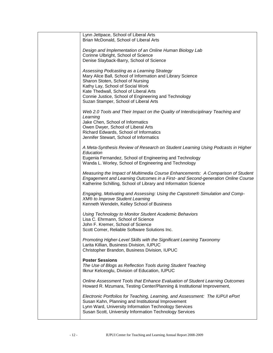| Lynn Jettpace, School of Liberal Arts<br>Brian McDonald, School of Liberal Arts                                                                                                                                                       |
|---------------------------------------------------------------------------------------------------------------------------------------------------------------------------------------------------------------------------------------|
| Design and Implementation of an Online Human Biology Lab<br>Corinne Ulbright, School of Science                                                                                                                                       |
| Denise Slayback-Barry, School of Science                                                                                                                                                                                              |
| Assessing Podcasting as a Learning Strategy<br>Mary Alice Ball, School of Information and Library Science                                                                                                                             |
| Sharon Stoten, School of Nursing<br>Kathy Lay, School of Social Work                                                                                                                                                                  |
| Kate Thedwall, School of Liberal Arts<br>Connie Justice, School of Engineering and Technology                                                                                                                                         |
| Suzan Stamper, School of Liberal Arts                                                                                                                                                                                                 |
| Web 2.0 Tools and Their Impact on the Quality of Interdisciplinary Teaching and<br>Learning                                                                                                                                           |
| Jake Chen, School of Informatics<br>Owen Dwyer, School of Liberal Arts                                                                                                                                                                |
| Richard Edwards, School of Informatics<br>Jennifer Stewart, School of Informatics                                                                                                                                                     |
|                                                                                                                                                                                                                                       |
| A Meta-Synthesis Review of Research on Student Learning Using Podcasts in Higher<br>Education                                                                                                                                         |
| Eugenia Fernandez, School of Engineering and Technology<br>Wanda L. Worley, School of Engineering and Technology                                                                                                                      |
| Measuring the Impact of Multimedia Course Enhancements: A Comparison of Student<br>Engagement and Learning Outcomes in a First- and Second-generation Online Course<br>Katherine Schilling, School of Library and Information Science |
| Engaging, Motivating and Assessing: Using the Capstone® Simulation and Comp-<br><b>XM® to Improve Student Learning</b><br>Kenneth Wendeln, Kelley School of Business                                                                  |
|                                                                                                                                                                                                                                       |
| Using Technology to Monitor Student Academic Behaviors<br>Lisa C. Ehrmann, School of Science                                                                                                                                          |
| John F. Kremer, School of Science<br>Scott Comer, Reliable Software Solutions Inc.                                                                                                                                                    |
| Promoting Higher-Level Skills with the Significant Learning Taxonomy<br>Larita Killian, Business Division, IUPUC                                                                                                                      |
| Christopher Brandon, Business Division, IUPUC                                                                                                                                                                                         |
| <b>Poster Sessions</b><br>The Use of Blogs as Reflection Tools during Student Teaching                                                                                                                                                |
| Ilknur Kelceoglu, Division of Education, IUPUC                                                                                                                                                                                        |
| Online Assessment Tools that Enhance Evaluation of Student Learning Outcomes<br>Howard R. Mzumara, Testing Center/Planning & Institutional Improvement,                                                                               |
| Electronic Portfolios for Teaching, Learning, and Assessment: The IUPUI ePort<br>Susan Kahn, Planning and Institutional Improvement<br>Lynn Ward, University Information Technology Services                                          |
| Susan Scott, University Information Technology Services                                                                                                                                                                               |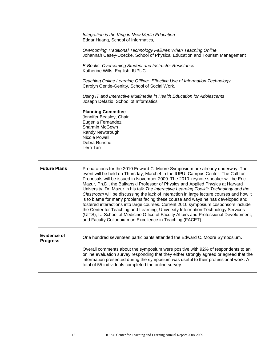|                                       | Integration is the King in New Media Education<br>Edgar Huang, School of Informatics,<br>Overcoming Traditional Technology Failures When Teaching Online<br>Johannah Casey-Doecke, School of Physical Education and Tourism Management<br>E-Books: Overcoming Student and Instructor Resistance<br>Katherine Wills, English, IUPUC<br>Teaching Online Learning Offline: Effective Use of Information Technology<br>Carolyn Gentle-Genitty, School of Social Work,<br>Using IT and Interactive Multimedia in Health Education for Adolescents<br>Joseph Defazio, School of Informatics<br><b>Planning Committee</b><br>Jennifer Beasley, Chair<br>Eugenia Fernandez<br>Sharmin McGown<br>Randy Newbrough<br>Nicole Powell<br>Debra Runshe<br><b>Terri Tarr</b>                                |
|---------------------------------------|----------------------------------------------------------------------------------------------------------------------------------------------------------------------------------------------------------------------------------------------------------------------------------------------------------------------------------------------------------------------------------------------------------------------------------------------------------------------------------------------------------------------------------------------------------------------------------------------------------------------------------------------------------------------------------------------------------------------------------------------------------------------------------------------|
| <b>Future Plans</b>                   | Preparations for the 2010 Edward C. Moore Symposium are already underway. The<br>event will be held on Thursday, March 4 in the IUPUI Campus Center. The Call for<br>Proposals will be issued in November 2009. The 2010 keynote speaker will be Eric<br>Mazur, Ph.D., the Balkanski Professor of Physics and Applied Physics at Harvard<br>University. Dr. Mazur in his talk The Interactive Learning Toolkit: Technology and the<br>Classroom will be discussing the lack of interaction in large lecture courses and how it<br>is to blame for many problems facing these course and ways he has developed and<br>fostered interactions into large courses. Current 2010 symposium cosponsors include<br>the Center for Teaching and Learning, University Information Technology Services |
|                                       | (UITS), IU School of Medicine Office of Faculty Affairs and Professional Development,<br>and Faculty Colloquium on Excellence in Teaching (FACET).                                                                                                                                                                                                                                                                                                                                                                                                                                                                                                                                                                                                                                           |
| <b>Evidence of</b><br><b>Progress</b> | One hundred seventeen participants attended the Edward C. Moore Symposium.                                                                                                                                                                                                                                                                                                                                                                                                                                                                                                                                                                                                                                                                                                                   |
|                                       | Overall comments about the symposium were positive with 92% of respondents to an<br>online evaluation survey responding that they either strongly agreed or agreed that the<br>information presented during the symposium was useful to their professional work. A<br>total of 55 individuals completed the online survey.                                                                                                                                                                                                                                                                                                                                                                                                                                                                   |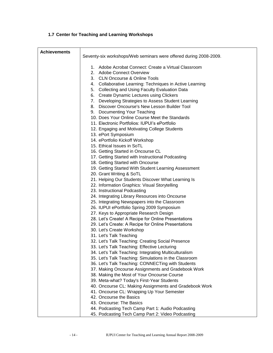|  |  | 1.7 Center for Teaching and Learning Workshops |  |  |
|--|--|------------------------------------------------|--|--|
|--|--|------------------------------------------------|--|--|

| <b>Achievements</b> | Seventy-six workshops/Web seminars were offered during 2008-2009.                                     |  |
|---------------------|-------------------------------------------------------------------------------------------------------|--|
|                     |                                                                                                       |  |
|                     | 1. Adobe Acrobat Connect: Create a Virtual Classroom                                                  |  |
|                     | 2. Adobe Connect Overview                                                                             |  |
|                     | 3. CLN Oncourse & Online Tools                                                                        |  |
|                     | 4. Collaborative Learning: Techniques in Active Learning                                              |  |
|                     | 5. Collecting and Using Faculty Evaluation Data                                                       |  |
|                     | 6. Create Dynamic Lectures using Clickers                                                             |  |
|                     | 7. Developing Strategies to Assess Student Learning                                                   |  |
|                     | 8. Discover Oncourse's New Lesson Builder Tool                                                        |  |
|                     | 9. Documenting Your Teaching                                                                          |  |
|                     | 10. Does Your Online Course Meet the Standards<br>11. Electronic Portfolios: IUPUI's ePortfolio       |  |
|                     |                                                                                                       |  |
|                     | 12. Engaging and Motivating College Students<br>13. ePort Symposium                                   |  |
|                     | 14. ePortfolio Kickoff Workshop                                                                       |  |
|                     | 15. Ethical Issues in SoTL                                                                            |  |
|                     | 16. Getting Started in Oncourse CL                                                                    |  |
|                     | 17. Getting Started with Instructional Podcasting                                                     |  |
|                     | 18. Getting Started with Oncourse                                                                     |  |
|                     | 19. Getting Started With Student Learning Assessment                                                  |  |
|                     | 20. Grant Writing & SoTL                                                                              |  |
|                     | 21. Helping Our Students Discover What Learning Is                                                    |  |
|                     | 22. Information Graphics: Visual Storytelling                                                         |  |
|                     | 23. Instructional Podcasting                                                                          |  |
|                     | 24. Integrating Library Resources into Oncourse                                                       |  |
|                     | 25. Integrating Newspapers into the Classroom                                                         |  |
|                     | 26. IUPUI ePortfolio Spring 2009 Symposium                                                            |  |
|                     | 27. Keys to Appropriate Research Design                                                               |  |
|                     | 28. Let's Create! A Recipe for Online Presentations                                                   |  |
|                     | 29. Let's Create: A Recipe for Online Presentations                                                   |  |
|                     | 30. Let's Create Workshop                                                                             |  |
|                     | 31. Let's Talk Teaching                                                                               |  |
|                     | 32. Let's Talk Teaching: Creating Social Presence                                                     |  |
|                     | 33. Let's Talk Teaching: Effective Lecturing<br>34. Let's Talk Teaching: Integrating Multiculturalism |  |
|                     | 35. Let's Talk Teaching: Simulations in the Classroom                                                 |  |
|                     | 36. Let's Talk Teaching: CONNECTing with Students                                                     |  |
|                     | 37. Making Oncourse Assignments and Gradebook Work                                                    |  |
|                     | 38. Making the Most of Your Oncourse Course                                                           |  |
|                     | 39. Meta-what? Today's First-Year Students                                                            |  |
|                     | 40. Oncourse CL: Making Assignments and Gradebook Work                                                |  |
|                     | 41. Oncourse CL: Wrapping Up Your Semester                                                            |  |
|                     | 42. Oncourse the Basics                                                                               |  |
|                     | 43. Oncourse: The Basics                                                                              |  |
|                     | 44. Podcasting Tech Camp Part 1: Audio Podcasting                                                     |  |
|                     | 45. Podcasting Tech Camp Part 2: Video Podcasting                                                     |  |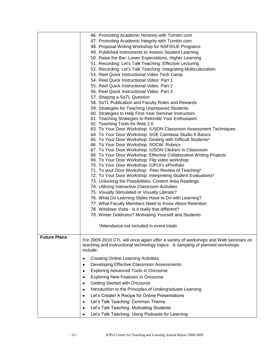|                     | 46. Promoting Academic Honesty with Turnitin.com                                                         |  |
|---------------------|----------------------------------------------------------------------------------------------------------|--|
|                     | 47. Promoting Academic Integrity with Turnitin.com                                                       |  |
|                     | 48. Proposal Writing Workshop for NSF/DUE Programs                                                       |  |
|                     |                                                                                                          |  |
|                     | 49. Published Instruments to Assess Student Learning                                                     |  |
|                     | 50. Raise the Bar: Lower Expectations, Higher Learning                                                   |  |
|                     | 51. Recording: Let's Talk Teaching: Effective Lecturing                                                  |  |
|                     | 52. Recording: Let's Talk Teaching: Integrating Multiculturalism                                         |  |
|                     | 53. Reel Quick Instructional Video Tech Camp                                                             |  |
|                     | 54. Reel Quick Instructional Video: Part 1                                                               |  |
|                     | 55. Reel Quick Instructional Video: Part 2                                                               |  |
|                     | 56. Reel Quick Instructional Video: Part 3                                                               |  |
|                     | 57. Shaping a SoTL Question                                                                              |  |
|                     | 58. SoTL Publication and Faculty Roles and Rewards                                                       |  |
|                     |                                                                                                          |  |
|                     | 59. Strategies for Teaching Unprepared Students<br>60. Strategies to Help First-Year Seminar Instructors |  |
|                     |                                                                                                          |  |
|                     | 61. Teaching Strategies to Rekindle Your Enthusiasm                                                      |  |
|                     | 62. Teaching Tools for Web 2.0                                                                           |  |
|                     | 63. To Your Door Workshop: IUSON Classroom Assessment Techniques                                         |  |
|                     | 64. To Your Door Workshop: SOE Camtasia Studio 6 Basics                                                  |  |
|                     | 65. To Your Door Workshop: Dealing with Difficult Students*                                              |  |
|                     | 66. To Your Door Workshop: SOCW: Rubrics                                                                 |  |
|                     | 67. To Your Door Workshop: IUSON Clickers in Classroom                                                   |  |
|                     | 68. To Your Door Workshop: Effective Collaborative Writing Projects                                      |  |
|                     | 69. To Your Door Workshop: Flip video workshop                                                           |  |
|                     | 70. To Your Door Workshop: IUPUI's ePortfolio                                                            |  |
|                     | 71. To your Door Workshop: Peer Review of Teaching*                                                      |  |
|                     | 72. To Your Door Workshop: Interpreting Student Evaluations*                                             |  |
|                     | 73. Unlocking the Possibilities, Content Area Readings                                                   |  |
|                     | 74. Utilizing Interactive Classroom Activities                                                           |  |
|                     | 75. Visually Stimulated or Visually Literate?                                                            |  |
|                     | 76. What Do Learning Styles Have to Do with Learning?                                                    |  |
|                     | 77. What Faculty Members Need to Know About Retention                                                    |  |
|                     | 78. Windows Vista - Is it really that different?                                                         |  |
|                     | 79. Winter Doldrums? Motivating Yourself and Students                                                    |  |
|                     |                                                                                                          |  |
|                     | *Attendance not included in event totals                                                                 |  |
|                     |                                                                                                          |  |
| <b>Future Plans</b> |                                                                                                          |  |
|                     | For 2009-2010 CTL will once again offer a variety of workshops and Web seminars on                       |  |
|                     | teaching and instructional technology topics. A sampling of planned workshops                            |  |
|                     | include:                                                                                                 |  |
|                     | <b>Creating Online Learning Activities</b><br>٠                                                          |  |
|                     | Developing Effective Classroom Assessments                                                               |  |
|                     | ٠                                                                                                        |  |
|                     | <b>Exploring Advanced Tools in Oncourse</b><br>٠                                                         |  |
|                     | <b>Exploring New Features in Oncourse</b><br>٠                                                           |  |
|                     | Getting Started with Oncourse                                                                            |  |
|                     | Introduction to the Principles of Undergraduate Learning<br>٠                                            |  |
|                     | Let's Create! A Recipe for Online Presentations                                                          |  |
|                     | ٠                                                                                                        |  |
|                     | Let's Talk Teaching: Common Theme<br>٠                                                                   |  |
|                     | Let's Talk Teaching: Motivating Students                                                                 |  |
|                     | Let's Talk Teaching: Using Podcasts for Learning                                                         |  |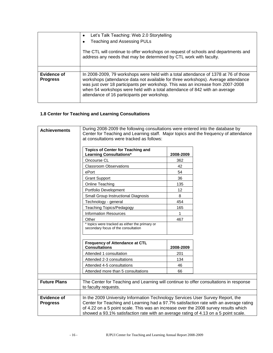|                                | Let's Talk Teaching: Web 2.0 Storytelling                                                                                                                                                                                                                                                                                                                                                |
|--------------------------------|------------------------------------------------------------------------------------------------------------------------------------------------------------------------------------------------------------------------------------------------------------------------------------------------------------------------------------------------------------------------------------------|
|                                | <b>Teaching and Assessing PULs</b>                                                                                                                                                                                                                                                                                                                                                       |
|                                | The CTL will continue to offer workshops on request of schools and departments and<br>address any needs that may be determined by CTL work with faculty.                                                                                                                                                                                                                                 |
|                                |                                                                                                                                                                                                                                                                                                                                                                                          |
| Evidence of<br><b>Progress</b> | In 2008-2009, 79 workshops were held with a total attendance of 1378 at 76 of those<br>workshops (attendance data not available for three workshops). Average attendance<br>was just over 18 participants per workshop. This was an increase from 2007-2008<br>when 54 workshops were held with a total attendance of 842 with an average<br>attendance of 16 participants per workshop. |

## **1.8 Center for Teaching and Learning Consultations**

| <b>Achievements</b>                   | During 2008-2009 the following consultations were entered into the database by<br>Center for Teaching and Learning staff. Major topics and the frequency of attendance<br>at consultations were tracked as follows:                                                                                                                                   |           |  |
|---------------------------------------|-------------------------------------------------------------------------------------------------------------------------------------------------------------------------------------------------------------------------------------------------------------------------------------------------------------------------------------------------------|-----------|--|
|                                       | <b>Topics of Center for Teaching and</b><br><b>Learning Consultations*</b>                                                                                                                                                                                                                                                                            | 2008-2009 |  |
|                                       | Oncourse CL                                                                                                                                                                                                                                                                                                                                           | 362       |  |
|                                       | <b>Classroom Observations</b>                                                                                                                                                                                                                                                                                                                         | 42        |  |
|                                       | ePort                                                                                                                                                                                                                                                                                                                                                 | 54        |  |
|                                       | <b>Grant Support</b>                                                                                                                                                                                                                                                                                                                                  | 36        |  |
|                                       | Online Teaching                                                                                                                                                                                                                                                                                                                                       | 135       |  |
|                                       | Portfolio Development                                                                                                                                                                                                                                                                                                                                 | 12        |  |
|                                       | Small Group Instructional Diagnosis                                                                                                                                                                                                                                                                                                                   | 8         |  |
|                                       | Technology - general                                                                                                                                                                                                                                                                                                                                  | 454       |  |
|                                       | <b>Teaching Topics/Pedagogy</b>                                                                                                                                                                                                                                                                                                                       | 165       |  |
|                                       | <b>Information Resources</b>                                                                                                                                                                                                                                                                                                                          | 1         |  |
|                                       | Other                                                                                                                                                                                                                                                                                                                                                 | 467       |  |
|                                       | * topics were tracked as either the primary or<br>secondary focus of the consultation                                                                                                                                                                                                                                                                 |           |  |
|                                       | Frequency of Attendance at CTL<br><b>Consultations</b>                                                                                                                                                                                                                                                                                                | 2008-2009 |  |
|                                       | Attended 1 consultation                                                                                                                                                                                                                                                                                                                               | 201       |  |
|                                       | Attended 2-3 consultations                                                                                                                                                                                                                                                                                                                            | 134       |  |
|                                       | Attended 4-5 consultations                                                                                                                                                                                                                                                                                                                            | 46        |  |
|                                       | Attended more than 5 consultations                                                                                                                                                                                                                                                                                                                    | 66        |  |
| <b>Future Plans</b>                   | The Center for Teaching and Learning will continue to offer consultations in response<br>to faculty requests.                                                                                                                                                                                                                                         |           |  |
|                                       |                                                                                                                                                                                                                                                                                                                                                       |           |  |
| <b>Evidence of</b><br><b>Progress</b> | In the 2009 University Information Technology Services User Survey Report, the<br>Center for Teaching and Learning had a 97.7% satisfaction rate with an average rating<br>of 4.22 on a 5 point scale. This was an increase over the 2008 survey results which<br>showed a 93.1% satisfaction rate with an average rating of 4.13 on a 5 point scale. |           |  |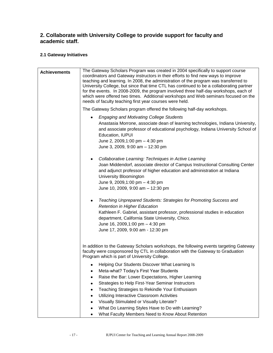## **2. Collaborate with University College to provide support for faculty and academic staff.**

## **2.1 Gateway Initiatives**

| <b>Achievements</b> | The Gateway Scholars Program was created in 2004 specifically to support course<br>coordinators and Gateway instructors in their efforts to find new ways to improve<br>teaching and learning. In 2008, the administration of the program was transferred to<br>University College, but since that time CTL has continued to be a collaborating partner<br>for the events. In 2008-2009, the program involved three half-day workshops, each of<br>which were offered two times. Additional workshops and Web seminars focused on the<br>needs of faculty teaching first year courses were held. |  |  |  |  |
|---------------------|--------------------------------------------------------------------------------------------------------------------------------------------------------------------------------------------------------------------------------------------------------------------------------------------------------------------------------------------------------------------------------------------------------------------------------------------------------------------------------------------------------------------------------------------------------------------------------------------------|--|--|--|--|
|                     | The Gateway Scholars program offered the following half-day workshops.                                                                                                                                                                                                                                                                                                                                                                                                                                                                                                                           |  |  |  |  |
|                     | <b>Engaging and Motivating College Students</b><br>٠<br>Anastasia Morrone, associate dean of learning technologies, Indiana University,<br>and associate professor of educational psychology, Indiana University School of<br>Education, IUPUI<br>June 2, 2009,1:00 pm - 4:30 pm<br>June 3, 2009, 9:00 am - 12:30 pm                                                                                                                                                                                                                                                                             |  |  |  |  |
|                     | Collaborative Learning: Techniques in Active Learning<br>Joan Middendorf, associate director of Campus Instructional Consulting Center<br>and adjunct professor of higher education and administration at Indiana<br>University Bloomington<br>June 9, 2009,1:00 pm - 4:30 pm<br>June 10, 2009, 9:00 am - 12:30 pm                                                                                                                                                                                                                                                                               |  |  |  |  |
|                     | Teaching Unprepared Students: Strategies for Promoting Success and<br><b>Retention in Higher Education</b><br>Kathleen F. Gabriel, assistant professor, professional studies in education<br>department, California State University, Chico.<br>June 16, 2009, 1:00 pm - 4:30 pm<br>June 17, 2009, 9:00 am - 12:30 pm                                                                                                                                                                                                                                                                            |  |  |  |  |
|                     | In addition to the Gateway Scholars workshops, the following events targeting Gateway<br>faculty were cosponsored by CTL in collaboration with the Gateway to Graduation<br>Program which is part of University College.                                                                                                                                                                                                                                                                                                                                                                         |  |  |  |  |
|                     | Helping Our Students Discover What Learning Is<br>Meta-what? Today's First Year Students<br>Raise the Bar: Lower Expectations, Higher Learning<br>Strategies to Help First-Year Seminar Instructors<br>Teaching Strategies to Rekindle Your Enthusiasm<br>Utilizing Interactive Classroom Activities<br>Visually Stimulated or Visually Literate?<br>What Do Learning Styles Have to Do with Learning?                                                                                                                                                                                           |  |  |  |  |
|                     | What Faculty Members Need to Know About Retention<br>٠                                                                                                                                                                                                                                                                                                                                                                                                                                                                                                                                           |  |  |  |  |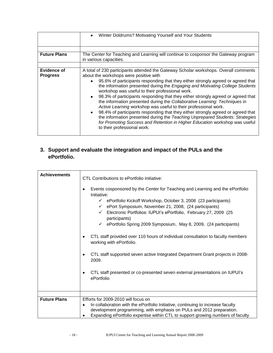|                                | Winter Doldrums? Motivating Yourself and Your Students<br>٠                                                                                                                                                                                                                                                                                                                                                                                                                                                                                                                                                                                                                                                                                                                                                                                                                                              |  |  |
|--------------------------------|----------------------------------------------------------------------------------------------------------------------------------------------------------------------------------------------------------------------------------------------------------------------------------------------------------------------------------------------------------------------------------------------------------------------------------------------------------------------------------------------------------------------------------------------------------------------------------------------------------------------------------------------------------------------------------------------------------------------------------------------------------------------------------------------------------------------------------------------------------------------------------------------------------|--|--|
| <b>Future Plans</b>            | The Center for Teaching and Learning will continue to cosponsor the Gateway program<br>in various capacities.                                                                                                                                                                                                                                                                                                                                                                                                                                                                                                                                                                                                                                                                                                                                                                                            |  |  |
| Evidence of<br><b>Progress</b> | A total of 230 participants attended the Gateway Scholar workshops. Overall comments<br>about the workshops were positive with<br>95.6% of participants responding that they either strongly agreed or agreed that<br>the information presented during the Engaging and Motivating College Students<br>workshop was useful to their professional work.<br>98.3% of participants responding that they either strongly agreed or agreed that<br>$\bullet$<br>the information presented during the Collaborative Learning: Techniques in<br>Active Learning workshop was useful to their professional work.<br>98.4% of participants responding that they either strongly agreed or agreed that<br>$\bullet$<br>the information presented during the Teaching Unprepared Students: Strategies<br>for Promoting Success and Retention in Higher Education workshop was useful<br>to their professional work. |  |  |

## **3. Support and evaluate the integration and impact of the PULs and the ePortfolio.**

| <b>Achievements</b> | CTL Contributions to ePortfolio initiative:<br>Events cosponsored by the Center for Teaching and Learning and the ePortfolio<br>Initiative:<br>$\checkmark$ ePortfolio Kickoff Workshop, October 3, 2008 (23 participants)<br>ePort Symposium, November 21, 2008, (24 participants)<br>$\checkmark$<br>Electronic Portfolios: IUPUI's ePortfolio, February 27, 2009 (25<br>$\checkmark$<br>participants)<br>ePortfolio Spring 2009 Symposium, May 8, 2009, (24 participants)<br>$\checkmark$<br>CTL staff provided over 110 hours of individual consultation to faculty members<br>working with ePortfolio.<br>CTL staff supported seven active Integrated Department Grant projects in 2008-<br>2009.<br>CTL staff presented or co-presented seven external presentations on IUPUI's<br>ePortfolio |
|---------------------|-----------------------------------------------------------------------------------------------------------------------------------------------------------------------------------------------------------------------------------------------------------------------------------------------------------------------------------------------------------------------------------------------------------------------------------------------------------------------------------------------------------------------------------------------------------------------------------------------------------------------------------------------------------------------------------------------------------------------------------------------------------------------------------------------------|
| <b>Future Plans</b> | Efforts for 2009-2010 will focus on<br>In collaboration with the ePortfolio Initiative, continuing to increase faculty<br>٠<br>development programming, with emphasis on PULs and 2012 preparation.<br>Expanding ePortfolio expertise within CTL to support growing numbers of faculty                                                                                                                                                                                                                                                                                                                                                                                                                                                                                                              |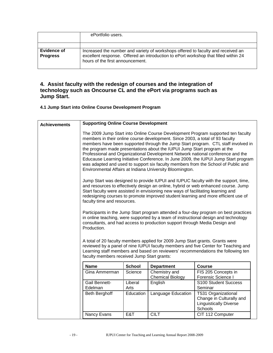|                                | ePortfolio users.                                                                                                                                                                                           |
|--------------------------------|-------------------------------------------------------------------------------------------------------------------------------------------------------------------------------------------------------------|
|                                |                                                                                                                                                                                                             |
| Evidence of<br><b>Progress</b> | Increased the number and variety of workshops offered to faculty and received an<br>excellent response. Offered an introduction to ePort workshop that filled within 24<br>hours of the first announcement. |

## **4. Assist faculty with the redesign of courses and the integration of technology such as Oncourse CL and the ePort via programs such as Jump Start.**

## **4.1 Jump Start into Online Course Development Program**

| <b>Achievements</b> | <b>Supporting Online Course Development</b>                                                                                                                                                                                                                                                                                                                                                                                                                                                                                                                                                                                                                   |                 |                                                                               |                                                                                                                                                                        |
|---------------------|---------------------------------------------------------------------------------------------------------------------------------------------------------------------------------------------------------------------------------------------------------------------------------------------------------------------------------------------------------------------------------------------------------------------------------------------------------------------------------------------------------------------------------------------------------------------------------------------------------------------------------------------------------------|-----------------|-------------------------------------------------------------------------------|------------------------------------------------------------------------------------------------------------------------------------------------------------------------|
|                     | The 2009 Jump Start into Online Course Development Program supported ten faculty<br>members in their online course development. Since 2003, a total of 93 faculty<br>members have been supported through the Jump Start program. CTL staff involved in<br>the program made presentations about the IUPUI Jump Start program at the<br>Professional and Organizational Development Network national conference and the<br>Educause Learning Initiative Conference. In June 2009, the IUPUI Jump Start program<br>was adapted and used to support six faculty members from the School of Public and<br>Environmental Affairs at Indiana University Bloomington. |                 |                                                                               |                                                                                                                                                                        |
|                     | Jump Start was designed to provide IUPUI and IUPUC faculty with the support, time,<br>and resources to effectively design an online, hybrid or web enhanced course. Jump<br>Start faculty were assisted in envisioning new ways of facilitating learning and<br>redesigning courses to promote improved student learning and more efficient use of<br>faculty time and resources.                                                                                                                                                                                                                                                                             |                 |                                                                               |                                                                                                                                                                        |
|                     | Participants in the Jump Start program attended a four-day program on best practices<br>in online teaching, were supported by a team of instructional design and technology<br>consultants, and had access to production support through Media Design and<br>Production.                                                                                                                                                                                                                                                                                                                                                                                      |                 |                                                                               |                                                                                                                                                                        |
|                     | faculty members received Jump Start grants:                                                                                                                                                                                                                                                                                                                                                                                                                                                                                                                                                                                                                   |                 | A total of 20 faculty members applied for 2009 Jump Start grants. Grants were | reviewed by a panel of nine IUPUI faculty members and five Center for Teaching and<br>Learning staff members and based on reviewers' recommendations the following ten |
|                     | <b>Name</b>                                                                                                                                                                                                                                                                                                                                                                                                                                                                                                                                                                                                                                                   | <b>School</b>   | <b>Department</b>                                                             | <b>Course</b>                                                                                                                                                          |
|                     | Gina Ammerman                                                                                                                                                                                                                                                                                                                                                                                                                                                                                                                                                                                                                                                 | Science         | Chemistry and<br><b>Chemical Biology</b>                                      | FIS 205 Concepts in<br>Forensic Science I                                                                                                                              |
|                     | <b>Gail Bennett-</b><br>Edelman                                                                                                                                                                                                                                                                                                                                                                                                                                                                                                                                                                                                                               | Liberal<br>Arts | English                                                                       | S100 Student Success<br>Seminar                                                                                                                                        |
|                     | <b>Beth Berghoff</b>                                                                                                                                                                                                                                                                                                                                                                                                                                                                                                                                                                                                                                          | Education       | Language Education                                                            | T531 Organizational<br>Change in Culturally and<br><b>Linguistically Diverse</b><br>Schools                                                                            |
|                     | Nancy Evans                                                                                                                                                                                                                                                                                                                                                                                                                                                                                                                                                                                                                                                   | E&T             | <b>CILT</b>                                                                   | CIT 112 Computer                                                                                                                                                       |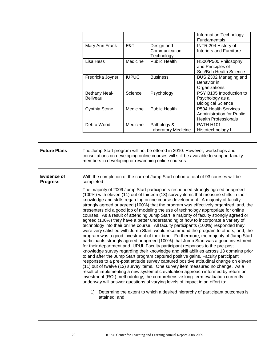|                     |                      |              |                                                                                  | Information Technology                                                                                                                                                       |
|---------------------|----------------------|--------------|----------------------------------------------------------------------------------|------------------------------------------------------------------------------------------------------------------------------------------------------------------------------|
|                     |                      |              |                                                                                  | Fundamentals<br>INTR 204 History of                                                                                                                                          |
|                     | Mary Ann Frank       | E&T          | Design and<br>Communication<br>Technology                                        | <b>Interiors and Furniture</b>                                                                                                                                               |
|                     | Lisa Hess            | Medicine     | <b>Public Health</b>                                                             | H500/P500 Philosophy                                                                                                                                                         |
|                     |                      |              |                                                                                  | and Principles of                                                                                                                                                            |
|                     |                      |              |                                                                                  | Soc/Beh Health Science                                                                                                                                                       |
|                     | Fredricka Joyner     | <b>IUPUC</b> | <b>Business</b>                                                                  | BUS Z302 Managing and                                                                                                                                                        |
|                     |                      |              |                                                                                  | Behavior in                                                                                                                                                                  |
|                     |                      |              |                                                                                  | Organizations                                                                                                                                                                |
|                     | Bethany Neal-        | Science      | Psychology                                                                       | PSY B105 Introduction to                                                                                                                                                     |
|                     | <b>Beliveau</b>      |              |                                                                                  | Psychology as a                                                                                                                                                              |
|                     |                      |              |                                                                                  | <b>Biological Science</b>                                                                                                                                                    |
|                     | Cynthia Stone        | Medicine     | <b>Public Health</b>                                                             | P504 Health Services<br><b>Administration for Public</b>                                                                                                                     |
|                     |                      |              |                                                                                  | <b>Health Professionals</b>                                                                                                                                                  |
|                     | Debra Wood           | Medicine     | Pathology &                                                                      | <b>PATH H101</b>                                                                                                                                                             |
|                     |                      |              | Laboratory Medicine                                                              | Histotechnology I                                                                                                                                                            |
|                     |                      |              |                                                                                  |                                                                                                                                                                              |
|                     |                      |              |                                                                                  |                                                                                                                                                                              |
| <b>Future Plans</b> |                      |              | The Jump Start program will not be offered in 2010. However, workshops and       |                                                                                                                                                                              |
|                     |                      |              |                                                                                  | consultations on developing online courses will still be available to support faculty                                                                                        |
|                     |                      |              | members in developing or revamping online courses.                               |                                                                                                                                                                              |
|                     |                      |              |                                                                                  |                                                                                                                                                                              |
|                     |                      |              |                                                                                  |                                                                                                                                                                              |
| <b>Evidence of</b>  |                      |              |                                                                                  | With the completion of the current Jump Start cohort a total of 93 courses will be                                                                                           |
| <b>Progress</b>     | completed.           |              |                                                                                  |                                                                                                                                                                              |
|                     |                      |              |                                                                                  | The majority of 2009 Jump Start participants responded strongly agreed or agreed                                                                                             |
|                     |                      |              |                                                                                  | (100%) with eleven (11) out of thirteen (13) survey items that measure shifts in their                                                                                       |
|                     |                      |              |                                                                                  | knowledge and skills regarding online course development. A majority of faculty                                                                                              |
|                     |                      |              |                                                                                  | strongly agreed or agreed (100%) that the program was effectively organized; and, the                                                                                        |
|                     |                      |              |                                                                                  | presenters did a good job of modeling the use of technology appropriate for online<br>courses. As a result of attending Jump Start, a majority of faculty strongly agreed or |
|                     |                      |              |                                                                                  | agreed (100%) they have a better understanding of how to incorporate a variety of                                                                                            |
|                     |                      |              |                                                                                  | technology into their online course. All faculty participants (100%) responded they                                                                                          |
|                     |                      |              |                                                                                  | were very satisfied with Jump Start; would recommend the program to others; and, the                                                                                         |
|                     |                      |              |                                                                                  | program was a good investment of their time. Furthermore, the majority of Jump Start                                                                                         |
|                     |                      |              |                                                                                  | participants strongly agreed or agreed (100%) that Jump Start was a good investment                                                                                          |
|                     |                      |              | for their department and IUPUI. Faculty participant responses to the pre-post    |                                                                                                                                                                              |
|                     |                      |              |                                                                                  | knowledge survey regarding their knowledge and skill abilities across 13 domains prior                                                                                       |
|                     |                      |              | to and after the Jump Start program captured positive gains. Faculty participant |                                                                                                                                                                              |
|                     |                      |              |                                                                                  | responses to a pre-post attitude survey captured positive attitudinal change on eleven                                                                                       |
|                     |                      |              |                                                                                  | (11) out of twelve (12) survey items. One survey item measured no change. As a                                                                                               |
|                     |                      |              |                                                                                  | result of implementing a new systematic evaluation approach informed by return on<br>investment (ROI) methodology, the comprehensive long-term evaluation currently          |
|                     |                      |              | underway will answer questions of varying levels of impact in an effort to:      |                                                                                                                                                                              |
|                     |                      |              |                                                                                  |                                                                                                                                                                              |
|                     | 1)<br>attained; and, |              |                                                                                  | Determine the extent to which a desired hierarchy of participant outcomes is                                                                                                 |
|                     |                      |              |                                                                                  |                                                                                                                                                                              |
|                     |                      |              |                                                                                  |                                                                                                                                                                              |
|                     |                      |              |                                                                                  |                                                                                                                                                                              |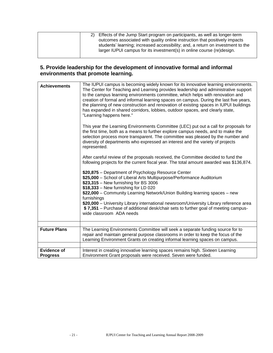|  | 2) Effects of the Jump Start program on participants, as well as longer-term<br>outcomes associated with quality online instruction that positively impacts<br>students' learning; increased accessibility; and, a return on investment to the<br>larger IUPUI campus for its investment(s) in online course (re)design. |
|--|--------------------------------------------------------------------------------------------------------------------------------------------------------------------------------------------------------------------------------------------------------------------------------------------------------------------------|
|--|--------------------------------------------------------------------------------------------------------------------------------------------------------------------------------------------------------------------------------------------------------------------------------------------------------------------------|

## **5. Provide leadership for the development of innovative formal and informal environments that promote learning.**

| <b>Achievements</b>                   | The IUPUI campus is becoming widely known for its innovative learning environments.<br>The Center for Teaching and Learning provides leadership and administrative support<br>to the campus learning environments committee, which helps with renovation and<br>creation of formal and informal learning spaces on campus. During the last five years,<br>the planning of new construction and renovation of existing spaces in IUPUI buildings<br>has expanded in shared corridors, lobbies, outdoor spaces, and clearly state,<br>"Learning happens here."<br>This year the Learning Environments Committee (LEC) put out a call for proposals for<br>the first time, both as a means to further explore campus needs, and to make the<br>selection process more transparent. The committee was pleased by the number and<br>diversity of departments who expressed an interest and the variety of projects<br>represented.<br>After careful review of the proposals received, the Committee decided to fund the<br>following projects for the current fiscal year. The total amount awarded was \$136,874.<br>\$20,875 - Department of Psychology Resource Center<br>\$25,000 - School of Liberal Arts Multipurpose/Performance Auditorium<br>\$23,315 - New furnishing for BS 3006<br>\$18,333 - New furnishing for LD 020<br>\$22,000 - Community Learning Network/Union Building learning spaces - new<br>furnishings<br>\$20,000 - University Library international newsroom/University Library reference area<br>\$7,351 – Purchase of additional desk/chair sets to further goal of meeting campus-<br>wide classroom ADA needs |
|---------------------------------------|------------------------------------------------------------------------------------------------------------------------------------------------------------------------------------------------------------------------------------------------------------------------------------------------------------------------------------------------------------------------------------------------------------------------------------------------------------------------------------------------------------------------------------------------------------------------------------------------------------------------------------------------------------------------------------------------------------------------------------------------------------------------------------------------------------------------------------------------------------------------------------------------------------------------------------------------------------------------------------------------------------------------------------------------------------------------------------------------------------------------------------------------------------------------------------------------------------------------------------------------------------------------------------------------------------------------------------------------------------------------------------------------------------------------------------------------------------------------------------------------------------------------------------------------------------------------------------------------------------------------------------------|
| <b>Future Plans</b>                   | The Learning Environments Committee will seek a separate funding source for to<br>repair and maintain general purpose classrooms in order to keep the focus of the<br>Learning Environment Grants on creating informal learning spaces on campus.                                                                                                                                                                                                                                                                                                                                                                                                                                                                                                                                                                                                                                                                                                                                                                                                                                                                                                                                                                                                                                                                                                                                                                                                                                                                                                                                                                                        |
| <b>Evidence of</b><br><b>Progress</b> | Interest in creating innovative learning spaces remains high. Sixteen Learning<br>Environment Grant proposals were received. Seven were funded.                                                                                                                                                                                                                                                                                                                                                                                                                                                                                                                                                                                                                                                                                                                                                                                                                                                                                                                                                                                                                                                                                                                                                                                                                                                                                                                                                                                                                                                                                          |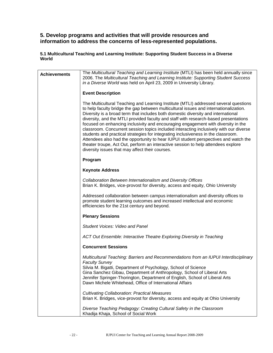## **5. Develop programs and activities that will provide resources and information to address the concerns of less-represented populations.**

**5.1 Multicultural Teaching and Learning Institute: Supporting Student Success in a Diverse World**

| <b>Achievements</b> | The Multicultural Teaching and Learning Institute (MTLI) has been held annually since<br>2006. The Multicultural Teaching and Learning Institute: Supporting Student Success<br>in a Diverse World was held on April 23, 2009 in University Library.                                                                                                                                                                                                                                                                                                                                                                                                                                                                                                                                                                                                          |
|---------------------|---------------------------------------------------------------------------------------------------------------------------------------------------------------------------------------------------------------------------------------------------------------------------------------------------------------------------------------------------------------------------------------------------------------------------------------------------------------------------------------------------------------------------------------------------------------------------------------------------------------------------------------------------------------------------------------------------------------------------------------------------------------------------------------------------------------------------------------------------------------|
|                     | <b>Event Description</b>                                                                                                                                                                                                                                                                                                                                                                                                                                                                                                                                                                                                                                                                                                                                                                                                                                      |
|                     | The Multicultural Teaching and Learning Institute (MTLI) addressed several questions<br>to help faculty bridge the gap between multicultural issues and internationalization.<br>Diversity is a broad term that includes both domestic diversity and international<br>diversity, and the MTLI provided faculty and staff with research-based presentations<br>focused on enhancing inclusivity and encouraging engagement with diversity in the<br>classroom. Concurrent session topics included interacting inclusively with our diverse<br>students and practical strategies for integrating inclusiveness in the classroom.<br>Attendees also had the opportunity to hear IUPUI student perspectives and watch the<br>theater troupe, Act Out, perform an interactive session to help attendees explore<br>diversity issues that may affect their courses. |
|                     | Program                                                                                                                                                                                                                                                                                                                                                                                                                                                                                                                                                                                                                                                                                                                                                                                                                                                       |
|                     | <b>Keynote Address</b>                                                                                                                                                                                                                                                                                                                                                                                                                                                                                                                                                                                                                                                                                                                                                                                                                                        |
|                     | Collaboration Between Internationalism and Diversity Offices<br>Brian K. Bridges, vice-provost for diversity, access and equity, Ohio University                                                                                                                                                                                                                                                                                                                                                                                                                                                                                                                                                                                                                                                                                                              |
|                     | Addressed collaboration between campus internationalism and diversity offices to<br>promote student learning outcomes and increased intellectual and economic<br>efficiencies for the 21st century and beyond.                                                                                                                                                                                                                                                                                                                                                                                                                                                                                                                                                                                                                                                |
|                     | <b>Plenary Sessions</b>                                                                                                                                                                                                                                                                                                                                                                                                                                                                                                                                                                                                                                                                                                                                                                                                                                       |
|                     | Student Voices: Video and Panel                                                                                                                                                                                                                                                                                                                                                                                                                                                                                                                                                                                                                                                                                                                                                                                                                               |
|                     | ACT Out Ensemble: Interactive Theatre Exploring Diversity in Teaching                                                                                                                                                                                                                                                                                                                                                                                                                                                                                                                                                                                                                                                                                                                                                                                         |
|                     | <b>Concurrent Sessions</b>                                                                                                                                                                                                                                                                                                                                                                                                                                                                                                                                                                                                                                                                                                                                                                                                                                    |
|                     | Multicultural Teaching: Barriers and Recommendations from an IUPUI Interdisciplinary<br><b>Faculty Survey</b><br>Silvia M. Bigatti, Department of Psychology, School of Science<br>Gina Sanchez Gibau, Department of Anthropology, School of Liberal Arts<br>Jennifer Springer-Thorington, Department of English, School of Liberal Arts<br>Dawn Michele Whitehead, Office of International Affairs                                                                                                                                                                                                                                                                                                                                                                                                                                                           |
|                     | <b>Cultivating Collaboration: Practical Measures</b><br>Brian K. Bridges, vice-provost for diversity, access and equity at Ohio University                                                                                                                                                                                                                                                                                                                                                                                                                                                                                                                                                                                                                                                                                                                    |
|                     | Diverse Teaching Pedagogy: Creating Cultural Safety in the Classroom<br>Khadija Khaja, School of Social Work                                                                                                                                                                                                                                                                                                                                                                                                                                                                                                                                                                                                                                                                                                                                                  |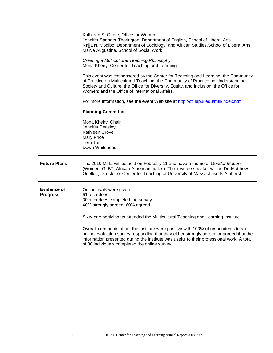|                     | Kathleen S. Grove, Office for Women                                                                                                                                                                                                                 |  |  |  |  |  |
|---------------------|-----------------------------------------------------------------------------------------------------------------------------------------------------------------------------------------------------------------------------------------------------|--|--|--|--|--|
|                     | Jennifer Springer-Thorington. Department of English, School of Liberal Arts<br>Najja N. Modibo, Department of Sociology, and African Studies, School of Liberal Arts                                                                                |  |  |  |  |  |
|                     | Marva Augustine, School of Social Work                                                                                                                                                                                                              |  |  |  |  |  |
|                     |                                                                                                                                                                                                                                                     |  |  |  |  |  |
|                     | Creating a Multicultural Teaching Philosophy<br>Mona Kheiry, Center for Teaching and Learning                                                                                                                                                       |  |  |  |  |  |
|                     |                                                                                                                                                                                                                                                     |  |  |  |  |  |
|                     | This event was cosponsored by the Center for Teaching and Learning; the Community                                                                                                                                                                   |  |  |  |  |  |
|                     | of Practice on Multicultural Teaching; the Community of Practice on Understanding<br>Society and Culture; the Office for Diversity, Equity, and Inclusion; the Office for                                                                           |  |  |  |  |  |
|                     | Women; and the Office of International Affairs.                                                                                                                                                                                                     |  |  |  |  |  |
|                     | For more information, see the event Web site at http://ctl.iupui.edu/mtli/index.html                                                                                                                                                                |  |  |  |  |  |
|                     | <b>Planning Committee</b>                                                                                                                                                                                                                           |  |  |  |  |  |
|                     | Mona Kheiry, Chair                                                                                                                                                                                                                                  |  |  |  |  |  |
|                     | Jennifer Beasley                                                                                                                                                                                                                                    |  |  |  |  |  |
|                     | Kathleen Grove                                                                                                                                                                                                                                      |  |  |  |  |  |
|                     | <b>Mary Price</b><br><b>Terri Tarr</b>                                                                                                                                                                                                              |  |  |  |  |  |
|                     | Dawn Whitehead                                                                                                                                                                                                                                      |  |  |  |  |  |
|                     |                                                                                                                                                                                                                                                     |  |  |  |  |  |
| <b>Future Plans</b> |                                                                                                                                                                                                                                                     |  |  |  |  |  |
|                     | The 2010 MTLI will be held on February 11 and have a theme of Gender Matters<br>(Women, GLBT, African-American males). The keynote speaker will be Dr. Matthew<br>Ouellett, Director of Center for Teaching at University of Massachusetts Amherst. |  |  |  |  |  |
|                     |                                                                                                                                                                                                                                                     |  |  |  |  |  |
| <b>Evidence of</b>  | Online evals were given.                                                                                                                                                                                                                            |  |  |  |  |  |
| <b>Progress</b>     | 61 attendees                                                                                                                                                                                                                                        |  |  |  |  |  |
|                     | 30 attendees completed the survey.<br>40% strongly agreed; 60% agreed.                                                                                                                                                                              |  |  |  |  |  |
|                     |                                                                                                                                                                                                                                                     |  |  |  |  |  |
|                     | Sixty-one participants attended the Multicultural Teaching and Learning Institute.                                                                                                                                                                  |  |  |  |  |  |
|                     | Overall comments about the institute were positive with 100% of respondents to an                                                                                                                                                                   |  |  |  |  |  |
|                     | online evaluation survey responding that they either strongly agreed or agreed that the<br>information presented during the institute was useful to their professional work. A total<br>of 30 individuals completed the online survey.              |  |  |  |  |  |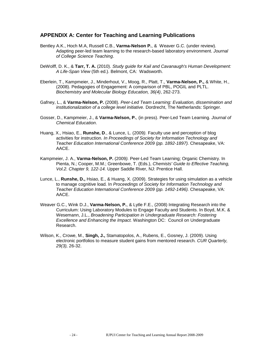## **APPENDIX A: Center for Teaching and Learning Publications**

- Bentley A.K., Hoch M.A, Russell C.B., **Varma-Nelson P.**, & Weaver G.C. (under review). Adapting peer-led team learning to the research-based laboratory environment. *Journal of College Science Teaching*.
- DeWolff, D. K., & **Tarr, T. A.** (2010). *Study guide for Kail and Cavanaugh's Human Development: A Life-Span View* (5th ed.). Belmont, CA: Wadsworth.
- Eberlein, T., Kampmeier, J., Minderhout, V., Moog, R., Platt, T., **Varma-Nelson, P.,** & White, H., (2008). Pedagogies of Engagement: A comparison of PBL, POGIL and PLTL. *Biochemistry and Molecular Biology Education, 36(4)*, 262-273.
- Gafney, L., & **Varma-Nelson, P.** (2008). *Peer-Led Team Learning: Evaluation, dissemination and institutionalization of a college level initiative.* Dordrecht, The Netherlands: Springer.
- Gosser, D., Kampmeier, J., & **Varma-Nelson, P.**, (in press). Peer-Led Team Learning. *Journal of Chemical Education*.
- Huang, X., Hsiao, E., **Runshe, D**., & Lunce, L. (2009*).* Faculty use and perception of blog activities for instruction*. In Proceedings of Society for Information Technology and Teacher Education International Conference 2009 (pp. 1892-1897).* Chesapeake, VA: AACE.
- Kampmeier, J. A., **Varma-Nelson, P.** (2009*).* Peer-Led Team Learning; Organic Chemistry. In Pienta, N.; Cooper, M.M.; Greenbowe, T. (Eds.), *Chemists' Guide to Effective Teaching, Vol.2. Chapter 9, 122-14.* Upper Saddle River, NJ: Prentice Hall.
- Lunce, L., **Runshe, D.,** Hsiao, E., & Huang, X. (2009). Strategies for using simulation as a vehicle to manage cognitive load*.* In *Proceedings of Society for Information Technology and Teacher Education International Conference 2009 (pp. 1492-1496).* Chesapeake, VA: AACE.
- Weaver G.C., Wink D.J., **Varma-Nelson, P.**, & Lytle F.E., (2008) Integrating Research into the Curriculum: Using Laboratory Modules to Engage Faculty and Students. In Boyd, M.K. & Wesemann, J.L., *Broadening Participation in Undergraduate Research: Fostering Excellence and Enhancing the Impact.* Washington DC: Council on Undergraduate Research.
- Wilson, K., Crowe, M., **Singh, J.,** Stamatopolos, A., Rubens, E., Gosney, J. (2009). Using electronic portfolios to measure student gains from mentored research*. CUR Quarterly, 29(3),* 26-32.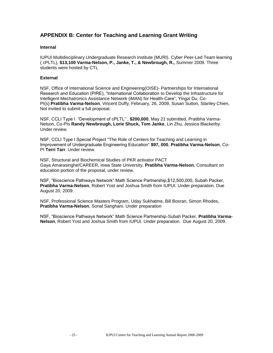## **APPENDIX B: Center for Teaching and Learning Grant Writing**

#### **Internal**

IUPUI Multidisciplinary Undergraduate Research Institute (MURI). Cyber Peer-Led Team learning ( cPLTL), **\$13,100 Varma-Nelson, P., Janke, T., & Newbrough, R.,** Summer 2009. Three students were hosted by CTL

#### **External**

NSF, Office of International Science and Engineering(OISE)- Partnerships for International Research and Education (PIRE), "International Collaboration to Develop the Infrastructure for Intelligent Mechatronics Assistance Network (iMAN) for Health-Care", Yingzi Du, Co-PI(s):**Pratibha Varma-Nelson**, Vincent Duffy, February, 26, 2009, Susan Sutton, Stanley Chien, Not invited to submit a full proposal.

NSF, CCLI Type I "Development of cPLTL" , **\$200,000**, May 21 submitted, Pratibha Varma-Nelson, Co-PIs **Randy Newbrough, Lorie Shuck, Tom Janke**, Lin Zhu, Jessica Blackerby. Under review.

NSF, CCLI Type I Special Project "The Role of Centers for Teaching and Learning in Improvement of Undergraduate Engineering Education" **\$97, 000**, **Pratibha Varma-Nelson**, Co-PI **Terri Tarr**. Under review.

NSF, Structural and Biochemical Studies of PKR activator PACT Gaya Amarasinghe/CAREER, Iowa State University, **Pratibha Varma-Nelson**, Consultant on education portion of the proposal, under review.

NSF, "Bioscience Pathways Network" Math Science Partnership,\$12,500,000, Subah Packer, **Pratibha Varma-Nelson**, Robert Yost and Joshua Smith from IUPUI. Under preparation. Due August 20, 2009.

NSF, Professional Science Masters Program, Uday Sukhatme, Bill Bosran, Simon Rhodes, **Pratibha Varma-Nelson**, Sonal Sanghani. Under preparation

NSF, "Bioscience Pathways Network" Math Science Partnership-Subah Packer, **Pratibha Varma-Nelson**, Robert Yost and Joshua Smith from IUPUI. Under preparation. Due August 20, 2009.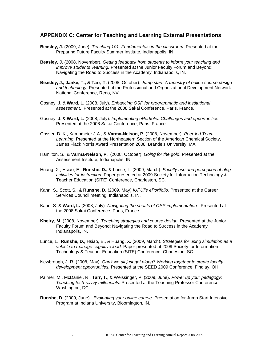## **APPENDIX C: Center for Teaching and Learning External Presentations**

- **Beasley, J.** (2009, June). *Teaching 101: Fundamentals in the classroom.* Presented at the Preparing Future Faculty Summer Institute, Indianapolis, IN.
- **Beasley, J.** (2008, November). *Getting feedback from students to inform your teaching and improve students' learning.* Presented at the Junior Faculty Forum and Beyond: Navigating the Road to Success in the Academy, Indianapolis, IN.
- **Beasley, J., Janke, T., & Tarr, T.** (2008, October). *Jump start: A tapestry of online course design and technology.* Presented at the Professional and Organizational Development Network National Conference, Reno, NV.
- Gosney, J. & **Ward, L.** (2008, July). *Enhancing OSP for programmatic and institutional assessment*. Presented at the 2008 Sakai Conference, Paris, France.
- Gosney, J. & **Ward, L.** (2008, July). *Implementing ePortfolio: Challenges and opportunities*. Presented at the 2008 Sakai Conference, Paris, France.
- Gosser, D. K., Kampmeier J.A., & **Varma-Nelson, P.** (2008, November). *Peer-led Team Learning.* Presented at the Northeastern Section of the American Chemical Society, James Flack Norris Award Presentation 2008, Brandeis University, MA
- Hamilton, S., & **Varma-Nelson, P.** (2008, October). *Going for the gold*. Presented at the Assessment Institute, Indianapolis, IN.
- Huang, X., Hsiao, E., **Runshe, D.,** & Lunce, L. (2009, March). *Faculty use and perception of blog activities for instruction.* Paper presented at 2009 Society for Information Technology & Teacher Education (SITE) Conference, Charleston, SC.
- Kahn, S., Scott, S., & **Runshe, D.** (2009, May) *IUPUI's ePortfolio.* Presented at the Career Services Council meeting, Indianapolis, IN.
- Kahn, S. & **Ward, L.** (2008, July). *Navigating the shoals of OSP implementation*. Presented at the 2008 Sakai Conference, Paris, France.
- **Kheiry, M**. (2008, November). *Teaching strategies and course design*. Presented at the Junior Faculty Forum and Beyond: Navigating the Road to Success in the Academy, Indianapolis, IN.
- Lunce, L., **Runshe, D.,** Hsiao, E., & Huang, X. (2009, March). *Strategies for using simulation as a vehicle to manage cognitive load.* Paper presented at 2009 Society for Information Technology & Teacher Education (SITE) Conference, Charleston, SC.
- Newbrough, J. R. (2008, May). *Can't we all just get along? Working together to create faculty development opportunities.* Presented at the SEED 2009 Conference, Findlay, OH.
- Palmer, M., McDaniel, R., **Tarr, T.,** & Weissinger, P. (2009, June). *Power up your pedagogy: Teaching tech-savvy millennials.* Presented at the Teaching Professor Conference, Washington, DC.
- **Runshe, D.** (2009, June). *Evaluating your online course.* Presentation for Jump Start Intensive Program at Indiana University, Bloomington, IN.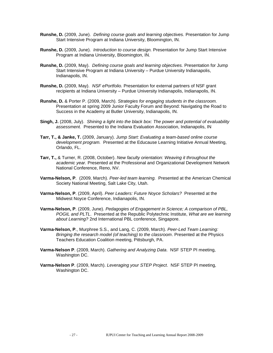- **Runshe, D.** (2009, June). *Defining course goals and learning objectives.* Presentation for Jump Start Intensive Program at Indiana University, Bloomington, IN.
- **Runshe, D.** (2009, June). *Introduction to course design.* Presentation for Jump Start Intensive Program at Indiana University, Bloomington, IN.
- **Runshe, D.** (2009, May). *Defining course goals and learning objectives.* Presentation for Jump Start Intensive Program at Indiana University – Purdue University Indianapolis, Indianapolis, IN.
- **Runshe, D.** (2009, May). *NSF ePortfolio.* Presentation for external partners of NSF grant recipients at Indiana University – Purdue University Indianapolis, Indianapolis, IN.
- **Runshe, D.** & Porter P. (2009, March). *Strategies for engaging students in the classroom.* Presentation at spring 2009 Junior Faculty Forum and Beyond: Navigating the Road to Success in the Academy at Butler University, Indianapolis, IN.
- **Singh, J.** (2008, July). *Shining a light into the black box: The power and potential of evaluability assessment.* Presented to the Indiana Evaluation Association, Indianapolis, IN
- **Tarr, T., & Janke, T.** (2009, January). *Jump Start: Evaluating a team-based online course development program.* Presented at the Educause Learning Initiative Annual Meeting, Orlando, FL.
- **Tarr, T.,** & Turner, R. (2008, October). *New faculty orientation: Weaving it throughout the academic year.* Presented at the Professional and Organizational Development Network National Conference, Reno, NV.
- **Varma-Nelson, P**. (2009, March). *Peer-led team learning.* Presented at the American Chemical Society National Meeting, Salt Lake City, Utah.
- **Varma-Nelson, P**. (2009, April). *Peer Leaders: Future Noyce Scholars?* Presented at the Midwest Noyce Conference, Indianapolis, IN.
- **Varma-Nelson, P**. (2009, June). *Pedagogies of Engagement in Science; A comparison of PBL, POGIL and PLTL*. Presented at the Republic Polytechnic Institute, *What are we learning about Learning?* 2nd International PBL conference, Singapore.
- **Varma-Nelson, P**., Murphree S.S., and Lang, C. (2009, March). *Peer-Led Team Learning: Bringing the research model (of teaching) to the classroom*. Presented at the Physics Teachers Education Coalition meeting, Pittsburgh, PA.
- **Varma-Nelson P**. (2009, March). *Gathering and Analyzing Data*. NSF STEP PI meeting, Washington DC.
- **Varma-Nelson P**. (2009, March). *Leveraging your STEP Project*. NSF STEP PI meeting, Washington DC.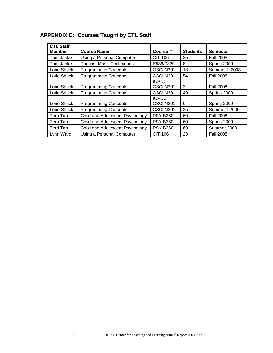| <b>CTL Staff</b> |                                 |                           |                 |                  |  |
|------------------|---------------------------------|---------------------------|-----------------|------------------|--|
| <b>Member</b>    | <b>Course Name</b>              | Course #                  | <b>Students</b> | <b>Semester</b>  |  |
| Tom Janke        | Using a Personal Computer       | CIT 106                   | 25              | <b>Fall 2008</b> |  |
| Tom Janke        | <b>Podcast Music Techniques</b> | E536/Z320                 | 8               | Spring 2009      |  |
| Lorie Shuck      | <b>Programming Concepts</b>     | CSCI N201                 | 13              | Summer II 2008   |  |
| Lorie Shuck      | <b>Programming Concepts</b>     | CSCI N201                 | 54              | <b>Fall 2008</b> |  |
| Lorie Shuck      | <b>Programming Concepts</b>     | <b>IUPUC</b><br>CSCI N201 | 3               | <b>Fall 2008</b> |  |
| Lorie Shuck      | <b>Programming Concepts</b>     | CSCI N201                 | 49              | Spring 2009      |  |
| Lorie Shuck      | <b>Programming Concepts</b>     | <b>IUPUC</b><br>CSCI N201 | 6               | Spring 2009      |  |
| Lorie Shuck      | <b>Programming Concepts</b>     | CSCI N201                 | 25              | Summer I 2009    |  |
| Terri Tarr       | Child and Adolescent Psychology | <b>PSY B360</b>           | 60              | <b>Fall 2008</b> |  |
| Terri Tarr       | Child and Adolescent Psychology | <b>PSY B360</b>           | 60              | Spring 2009      |  |
| Terri Tarr       | Child and Adolescent Psychology | <b>PSY B360</b>           | 60              | Summer 2009      |  |
| Lynn Ward        | Using a Personal Computer       | <b>CIT 106</b>            | 23              | <b>Fall 2008</b> |  |

## **APPENDIX D: Courses Taught by CTL Staff**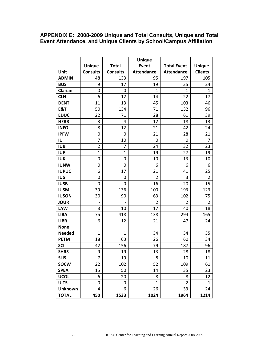## **APPENDIX E: 2008-2009 Unique and Total Consults, Unique and Total Event Attendance, and Unique Clients by School/Campus Affiliation**

|                | <b>Unique</b>   |                 |                   |                    |                |  |
|----------------|-----------------|-----------------|-------------------|--------------------|----------------|--|
|                | <b>Unique</b>   | <b>Total</b>    | Event             | <b>Total Event</b> | <b>Unique</b>  |  |
| Unit           | <b>Consults</b> | <b>Consults</b> | <b>Attendance</b> | <b>Attendance</b>  | <b>Clients</b> |  |
| <b>ADMIN</b>   | 48              | 133             | 95                | 197                | 105            |  |
| <b>BUS</b>     | 9               | 17              | 19                | 35                 | 24             |  |
| Clarian        | 0               | 0               | $\mathbf{1}$      | $\mathbf{1}$       | $\mathbf 1$    |  |
| <b>CLN</b>     | 6               | 12              | 14                | 22                 | 17             |  |
| <b>DENT</b>    | 11              | 13              | 45                | 103                | 46             |  |
| <b>E&amp;T</b> | 50              | 134             | 71                | 132                | 96             |  |
| <b>EDUC</b>    | 22              | 71              | 28                | 61                 | 39             |  |
| <b>HERR</b>    | 3               | 4               | 12                | 18                 | 13             |  |
| <b>INFO</b>    | 8               | 12              | 21                | 42                 | 24             |  |
| <b>IPFW</b>    | 0               | 0               | 21                | 28                 | 21             |  |
| IU             | $\overline{7}$  | 10              | $\mathbf 0$       | 0                  | $\overline{7}$ |  |
| <b>IUB</b>     | $\overline{2}$  | 7               | 24                | 32                 | 23             |  |
| <b>IUE</b>     | $\mathbf{1}$    | $\mathbf{1}$    | 19                | 27                 | 19             |  |
| <b>IUK</b>     | 0               | 0               | 10                | 13                 | 10             |  |
| <b>IUNW</b>    | 0               | 0               | 6                 | 6                  | 6              |  |
| <b>IUPUC</b>   | 6               | 17              | 21                | 41                 | 25             |  |
| <b>IUS</b>     | 0               | 0               | $\overline{2}$    | 3                  | $\overline{2}$ |  |
| <b>IUSB</b>    | 0               | 0               | 16                | 20                 | 15             |  |
| <b>IUSM</b>    | 39              | 136             | 100               | 193                | 123            |  |
| <b>IUSON</b>   | 30              | 90              | 63                | 102                | 75             |  |
| <b>JOUR</b>    |                 |                 | $\overline{2}$    | $\overline{2}$     | $\overline{2}$ |  |
| <b>LAW</b>     | 3               | 10              | 17                | 40                 | 18             |  |
| <b>LIBA</b>    | 75              | 418             | 138               | 294                | 165            |  |
| <b>LIBR</b>    | 6               | 12              | 21                | 47                 | 24             |  |
| <b>None</b>    |                 |                 |                   |                    |                |  |
| <b>Needed</b>  | 1               | 1               | 34                | 34                 | 35             |  |
| <b>PETM</b>    | 18              | 63              | 26                | 60                 | 34             |  |
| <b>SCI</b>     | 42              | 156             | 79                | 187                | 96             |  |
| <b>SHRS</b>    | 9               | 19              | 13                | 28                 | 18             |  |
| <b>SLIS</b>    | 7               | 19              | 8                 | 10                 | 11             |  |
| <b>SOCW</b>    | 22              | 102             | 52                | 109                | 61             |  |
| <b>SPEA</b>    | 15              | 50              | 14                | 35                 | 23             |  |
| <b>UCOL</b>    | 6               | 20              | 8                 | 8                  | 12             |  |
| <b>UITS</b>    | 0               | 0               | $\mathbf{1}$      | $\overline{2}$     | 1              |  |
| <b>Unknown</b> | 4               | 6               | 26                | 33                 | 24             |  |
| <b>TOTAL</b>   | 450             | 1533            | 1024              | 1964               | 1214           |  |